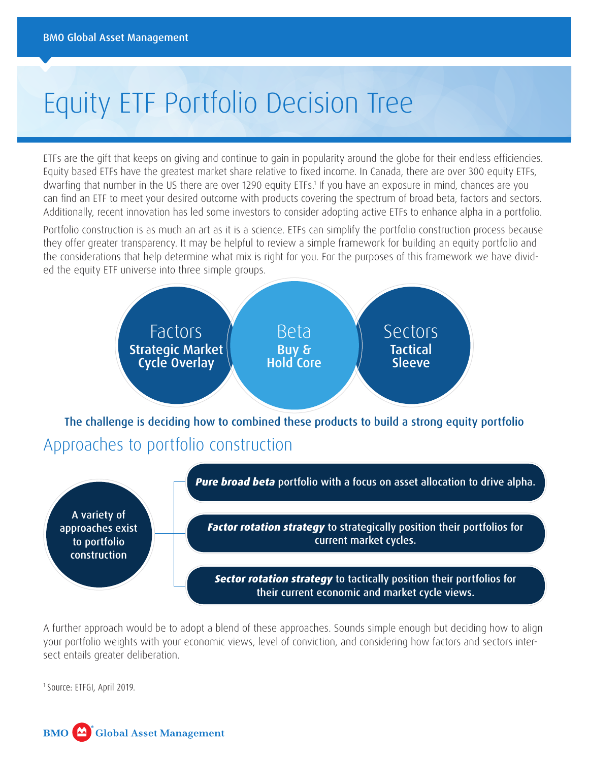# Equity ETF Portfolio Decision Tree

ETFs are the gift that keeps on giving and continue to gain in popularity around the globe for their endless efficiencies. Equity based ETFs have the greatest market share relative to fixed income. In Canada, there are over 300 equity ETFs, dwarfing that number in the US there are over 1290 equity ETFs.<sup>1</sup> If you have an exposure in mind, chances are you can find an ETF to meet your desired outcome with products covering the spectrum of broad beta, factors and sectors. Additionally, recent innovation has led some investors to consider adopting active ETFs to enhance alpha in a portfolio.

Portfolio construction is as much an art as it is a science. ETFs can simplify the portfolio construction process because they offer greater transparency. It may be helpful to review a simple framework for building an equity portfolio and the considerations that help determine what mix is right for you. For the purposes of this framework we have divided the equity ETF universe into three simple groups.



A further approach would be to adopt a blend of these approaches. Sounds simple enough but deciding how to align your portfolio weights with your economic views, level of conviction, and considering how factors and sectors intersect entails greater deliberation.

1 Source: ETFGI, April 2019.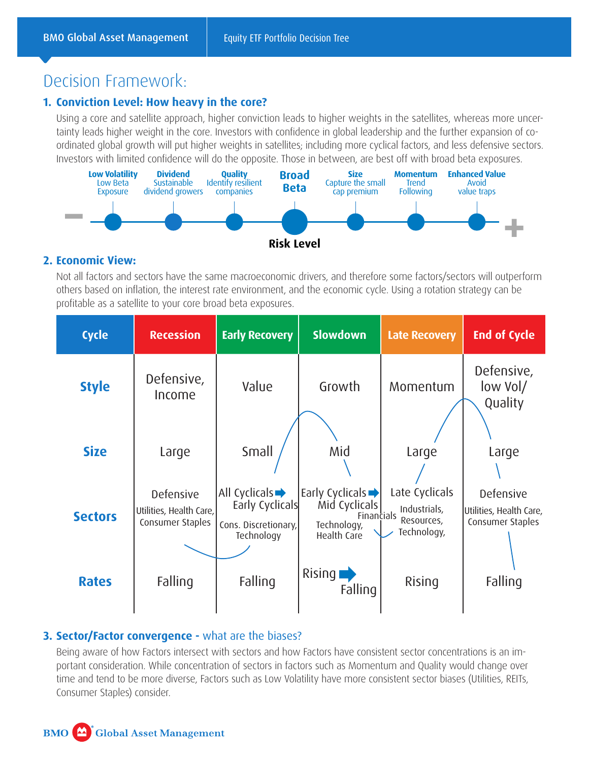# Decision Framework:

# **1. Conviction Level: How heavy in the core?**

Using a core and satellite approach, higher conviction leads to higher weights in the satellites, whereas more uncertainty leads higher weight in the core. Investors with confidence in global leadership and the further expansion of coordinated global growth will put higher weights in satellites; including more cyclical factors, and less defensive sectors. Investors with limited confidence will do the opposite. Those in between, are best off with broad beta exposures.



# **2. Economic View:**

Not all factors and sectors have the same macroeconomic drivers, and therefore some factors/sectors will outperform others based on inflation, the interest rate environment, and the economic cycle. Using a rotation strategy can be profitable as a satellite to your core broad beta exposures.

| <b>Cycle</b>   | <b>Recession</b>                                                | <b>Early Recovery</b>                                                                        | <b>Slowdown</b>                                                                            | <b>Late Recovery</b>                                        | <b>End of Cycle</b>                                             |
|----------------|-----------------------------------------------------------------|----------------------------------------------------------------------------------------------|--------------------------------------------------------------------------------------------|-------------------------------------------------------------|-----------------------------------------------------------------|
| <b>Style</b>   | Defensive,<br>Income                                            | Value                                                                                        | Growth                                                                                     | Momentum                                                    | Defensive,<br>low Vol/<br>Quality                               |
| <b>Size</b>    | Large                                                           | Small                                                                                        | Mid                                                                                        | Large                                                       | Large                                                           |
| <b>Sectors</b> | <b>Defensive</b><br>Utilities, Health Care,<br>Consumer Staples | All Cyclicals $\blacktriangleright$<br>Early Cyclicals<br>Cons. Discretionary,<br>Technology | Early Cyclicals $\rightarrow$<br>Mid Cyclicals<br>Financials<br>Technology,<br>Health Care | Late Cyclicals<br>Industrials,<br>Resources,<br>Technology, | <b>Defensive</b><br>Utilities, Health Care,<br>Consumer Staples |
| <b>Rates</b>   | Falling                                                         | Falling                                                                                      | Rising<br>Falling                                                                          | Rising                                                      | Falling                                                         |

## **3. Sector/Factor convergence -** what are the biases?

Being aware of how Factors intersect with sectors and how Factors have consistent sector concentrations is an important consideration. While concentration of sectors in factors such as Momentum and Quality would change over time and tend to be more diverse, Factors such as Low Volatility have more consistent sector biases (Utilities, REITs, Consumer Staples) consider.

#### **BMO Global Asset Management**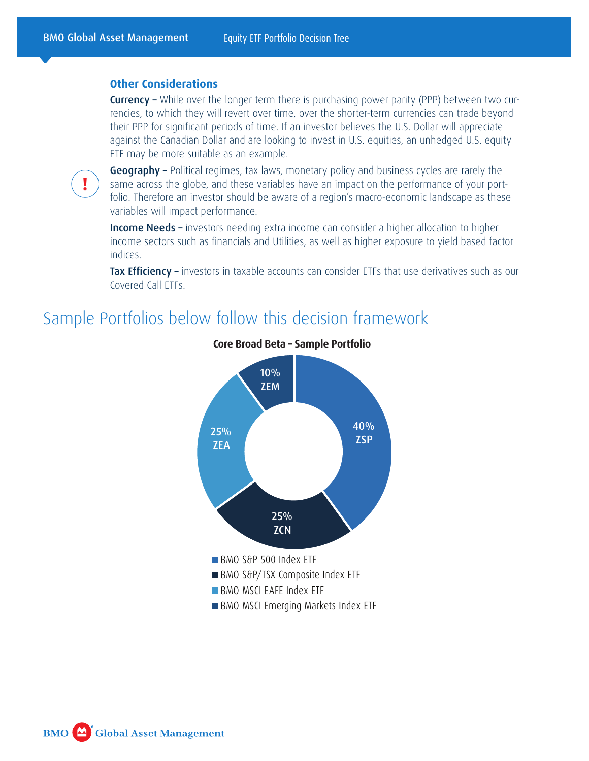**!**

### **Other Considerations**

**Currency** – While over the longer term there is purchasing power parity (PPP) between two currencies, to which they will revert over time, over the shorter-term currencies can trade beyond their PPP for significant periods of time. If an investor believes the U.S. Dollar will appreciate against the Canadian Dollar and are looking to invest in U.S. equities, an unhedged U.S. equity ETF may be more suitable as an example.

Geography - Political regimes, tax laws, monetary policy and business cycles are rarely the same across the globe, and these variables have an impact on the performance of your portfolio. Therefore an investor should be aware of a region's macro-economic landscape as these variables will impact performance.

Income Needs – investors needing extra income can consider a higher allocation to higher income sectors such as financials and Utilities, as well as higher exposure to yield based factor indices.

Tax Efficiency – investors in taxable accounts can consider ETFs that use derivatives such as our Covered Call ETFs.

# Sample Portfolios below follow this decision framework



### **Core Broad Beta – Sample Portfolio**

**Global Asset Management BMO**